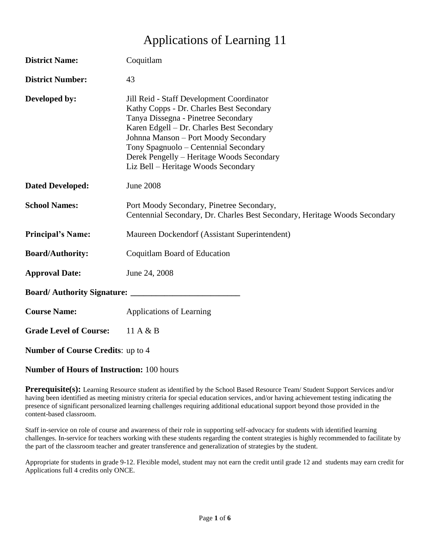# Applications of Learning 11

| <b>District Name:</b>                    | Coquitlam                                                                                                                                                                                                                                                                                                                                      |
|------------------------------------------|------------------------------------------------------------------------------------------------------------------------------------------------------------------------------------------------------------------------------------------------------------------------------------------------------------------------------------------------|
| <b>District Number:</b>                  | 43                                                                                                                                                                                                                                                                                                                                             |
| Developed by:                            | Jill Reid - Staff Development Coordinator<br>Kathy Copps - Dr. Charles Best Secondary<br>Tanya Dissegna - Pinetree Secondary<br>Karen Edgell - Dr. Charles Best Secondary<br>Johnna Manson - Port Moody Secondary<br>Tony Spagnuolo - Centennial Secondary<br>Derek Pengelly – Heritage Woods Secondary<br>Liz Bell – Heritage Woods Secondary |
| <b>Dated Developed:</b>                  | <b>June 2008</b>                                                                                                                                                                                                                                                                                                                               |
| <b>School Names:</b>                     | Port Moody Secondary, Pinetree Secondary,<br>Centennial Secondary, Dr. Charles Best Secondary, Heritage Woods Secondary                                                                                                                                                                                                                        |
| <b>Principal's Name:</b>                 | Maureen Dockendorf (Assistant Superintendent)                                                                                                                                                                                                                                                                                                  |
| <b>Board/Authority:</b>                  | Coquitlam Board of Education                                                                                                                                                                                                                                                                                                                   |
| <b>Approval Date:</b>                    | June 24, 2008                                                                                                                                                                                                                                                                                                                                  |
| <b>Board/Authority Signature:</b>        |                                                                                                                                                                                                                                                                                                                                                |
| <b>Course Name:</b>                      | Applications of Learning                                                                                                                                                                                                                                                                                                                       |
| <b>Grade Level of Course:</b>            | 11 A $\&$ B                                                                                                                                                                                                                                                                                                                                    |
| <b>Number of Course Credits: up to 4</b> |                                                                                                                                                                                                                                                                                                                                                |

**Number of Hours of Instruction:** 100 hours

**Prerequisite(s):** Learning Resource student as identified by the School Based Resource Team/ Student Support Services and/or having been identified as meeting ministry criteria for special education services, and/or having achievement testing indicating the presence of significant personalized learning challenges requiring additional educational support beyond those provided in the content-based classroom.

Staff in-service on role of course and awareness of their role in supporting self-advocacy for students with identified learning challenges. In-service for teachers working with these students regarding the content strategies is highly recommended to facilitate by the part of the classroom teacher and greater transference and generalization of strategies by the student.

Appropriate for students in grade 9-12. Flexible model, student may not earn the credit until grade 12 and students may earn credit for Applications full 4 credits only ONCE.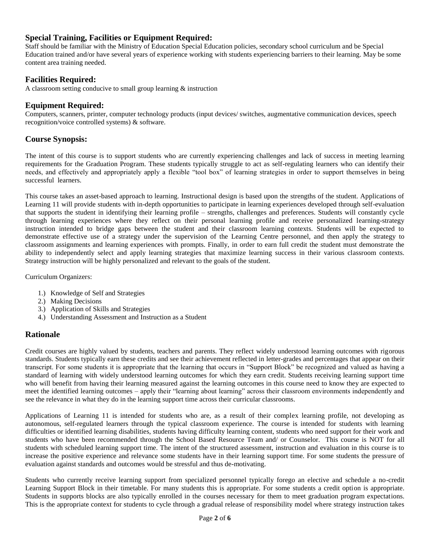## **Special Training, Facilities or Equipment Required:**

Staff should be familiar with the Ministry of Education Special Education policies, secondary school curriculum and be Special Education trained and/or have several years of experience working with students experiencing barriers to their learning. May be some content area training needed.

## **Facilities Required:**

A classroom setting conducive to small group learning & instruction

## **Equipment Required:**

Computers, scanners, printer, computer technology products (input devices/ switches, augmentative communication devices, speech recognition/voice controlled systems) & software.

## **Course Synopsis:**

The intent of this course is to support students who are currently experiencing challenges and lack of success in meeting learning requirements for the Graduation Program. These students typically struggle to act as self-regulating learners who can identify their needs, and effectively and appropriately apply a flexible "tool box" of learning strategies in order to support themselves in being successful learners.

This course takes an asset-based approach to learning. Instructional design is based upon the strengths of the student. Applications of Learning 11 will provide students with in-depth opportunities to participate in learning experiences developed through self-evaluation that supports the student in identifying their learning profile – strengths, challenges and preferences. Students will constantly cycle through learning experiences where they reflect on their personal learning profile and receive personalized learning-strategy instruction intended to bridge gaps between the student and their classroom learning contexts. Students will be expected to demonstrate effective use of a strategy under the supervision of the Learning Centre personnel, and then apply the strategy to classroom assignments and learning experiences with prompts. Finally, in order to earn full credit the student must demonstrate the ability to independently select and apply learning strategies that maximize learning success in their various classroom contexts. Strategy instruction will be highly personalized and relevant to the goals of the student.

Curriculum Organizers:

- 1.) Knowledge of Self and Strategies
- 2.) Making Decisions
- 3.) Application of Skills and Strategies
- 4.) Understanding Assessment and Instruction as a Student

## **Rationale**

Credit courses are highly valued by students, teachers and parents. They reflect widely understood learning outcomes with rigorous standards. Students typically earn these credits and see their achievement reflected in letter-grades and percentages that appear on their transcript. For some students it is appropriate that the learning that occurs in "Support Block" be recognized and valued as having a standard of learning with widely understood learning outcomes for which they earn credit. Students receiving learning support time who will benefit from having their learning measured against the learning outcomes in this course need to know they are expected to meet the identified learning outcomes – apply their "learning about learning" across their classroom environments independently and see the relevance in what they do in the learning support time across their curricular classrooms.

Applications of Learning 11 is intended for students who are, as a result of their complex learning profile, not developing as autonomous, self-regulated learners through the typical classroom experience. The course is intended for students with learning difficulties or identified learning disabilities, students having difficulty learning content, students who need support for their work and students who have been recommended through the School Based Resource Team and/ or Counselor. This course is NOT for all students with scheduled learning support time. The intent of the structured assessment, instruction and evaluation in this course is to increase the positive experience and relevance some students have in their learning support time. For some students the pressure of evaluation against standards and outcomes would be stressful and thus de-motivating.

Students who currently receive learning support from specialized personnel typically forego an elective and schedule a no-credit Learning Support Block in their timetable. For many students this is appropriate. For some students a credit option is appropriate. Students in supports blocks are also typically enrolled in the courses necessary for them to meet graduation program expectations. This is the appropriate context for students to cycle through a gradual release of responsibility model where strategy instruction takes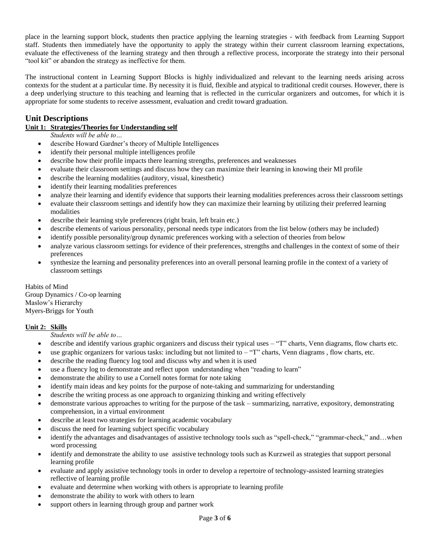place in the learning support block, students then practice applying the learning strategies - with feedback from Learning Support staff. Students then immediately have the opportunity to apply the strategy within their current classroom learning expectations, evaluate the effectiveness of the learning strategy and then through a reflective process, incorporate the strategy into their personal "tool kit" or abandon the strategy as ineffective for them.

The instructional content in Learning Support Blocks is highly individualized and relevant to the learning needs arising across contexts for the student at a particular time. By necessity it is fluid, flexible and atypical to traditional credit courses. However, there is a deep underlying structure to this teaching and learning that is reflected in the curricular organizers and outcomes, for which it is appropriate for some students to receive assessment, evaluation and credit toward graduation.

## **Unit Descriptions**

## **Unit 1: Strategies/Theories for Understanding self**

*Students will be able to…*

- describe Howard Gardner's theory of Multiple Intelligences
- identify their personal multiple intelligences profile
- describe how their profile impacts there learning strengths, preferences and weaknesses
- evaluate their classroom settings and discuss how they can maximize their learning in knowing their MI profile
- describe the learning modalities (auditory, visual, kinesthetic)
- identify their learning modalities preferences
- analyze their learning and identify evidence that supports their learning modalities preferences across their classroom settings
- evaluate their classroom settings and identify how they can maximize their learning by utilizing their preferred learning modalities
- describe their learning style preferences (right brain, left brain etc.)
- describe elements of various personality, personal needs type indicators from the list below (others may be included)
- identify possible personality/group dynamic preferences working with a selection of theories from below
- analyze various classroom settings for evidence of their preferences, strengths and challenges in the context of some of their preferences
- synthesize the learning and personality preferences into an overall personal learning profile in the context of a variety of classroom settings

Habits of Mind Group Dynamics / Co-op learning Maslow's Hierarchy Myers-Briggs for Youth

#### **Unit 2: Skills**

*Students will be able to…*

- describe and identify various graphic organizers and discuss their typical uses "T" charts, Venn diagrams, flow charts etc.
- $\bullet$  use graphic organizers for various tasks: including but not limited to  $-\text{``T''}$  charts, Venn diagrams, flow charts, etc.
- describe the reading fluency log tool and discuss why and when it is used
- use a fluency log to demonstrate and reflect upon understanding when "reading to learn"
- demonstrate the ability to use a Cornell notes format for note taking
- identify main ideas and key points for the purpose of note-taking and summarizing for understanding
- describe the writing process as one approach to organizing thinking and writing effectively
- demonstrate various approaches to writing for the purpose of the task summarizing, narrative, expository, demonstrating comprehension, in a virtual environment
- describe at least two strategies for learning academic vocabulary
- discuss the need for learning subject specific vocabulary
- identify the advantages and disadvantages of assistive technology tools such as "spell-check," "grammar-check," and…when word processing
- identify and demonstrate the ability to use assistive technology tools such as Kurzweil as strategies that support personal learning profile
- evaluate and apply assistive technology tools in order to develop a repertoire of technology-assisted learning strategies reflective of learning profile
- evaluate and determine when working with others is appropriate to learning profile
- demonstrate the ability to work with others to learn
- support others in learning through group and partner work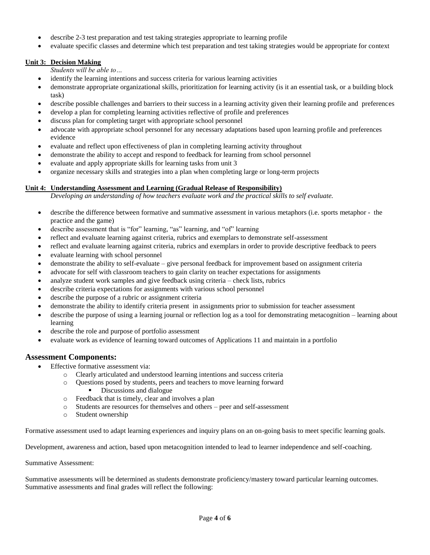- describe 2-3 test preparation and test taking strategies appropriate to learning profile
- evaluate specific classes and determine which test preparation and test taking strategies would be appropriate for context

#### **Unit 3: Decision Making**

*Students will be able to…*

- identify the learning intentions and success criteria for various learning activities
- demonstrate appropriate organizational skills, prioritization for learning activity (is it an essential task, or a building block task)
- describe possible challenges and barriers to their success in a learning activity given their learning profile and preferences
- develop a plan for completing learning activities reflective of profile and preferences
- discuss plan for completing target with appropriate school personnel
- advocate with appropriate school personnel for any necessary adaptations based upon learning profile and preferences evidence
- evaluate and reflect upon effectiveness of plan in completing learning activity throughout
- demonstrate the ability to accept and respond to feedback for learning from school personnel
- evaluate and apply appropriate skills for learning tasks from unit 3
- organize necessary skills and strategies into a plan when completing large or long-term projects

## **Unit 4: Understanding Assessment and Learning (Gradual Release of Responsibility)**

*Developing an understanding of how teachers evaluate work and the practical skills to self evaluate.*

- describe the difference between formative and summative assessment in various metaphors (i.e. sports metaphor the practice and the game)
- describe assessment that is "for" learning, "as" learning, and "of" learning
- reflect and evaluate learning against criteria, rubrics and exemplars to demonstrate self-assessment
- reflect and evaluate learning against criteria, rubrics and exemplars in order to provide descriptive feedback to peers
- evaluate learning with school personnel
- demonstrate the ability to self-evaluate give personal feedback for improvement based on assignment criteria
- advocate for self with classroom teachers to gain clarity on teacher expectations for assignments
- analyze student work samples and give feedback using criteria check lists, rubrics
- describe criteria expectations for assignments with various school personnel
- describe the purpose of a rubric or assignment criteria
- demonstrate the ability to identify criteria present in assignments prior to submission for teacher assessment
- describe the purpose of using a learning journal or reflection log as a tool for demonstrating metacognition learning about learning
- describe the role and purpose of portfolio assessment
- evaluate work as evidence of learning toward outcomes of Applications 11 and maintain in a portfolio

## **Assessment Components:**

- **•** Effective formative assessment via:
	- o Clearly articulated and understood learning intentions and success criteria
	- o Questions posed by students, peers and teachers to move learning forward Discussions and dialogue
	- o Feedback that is timely, clear and involves a plan
	- o Students are resources for themselves and others peer and self-assessment
	- o Student ownership

Formative assessment used to adapt learning experiences and inquiry plans on an on-going basis to meet specific learning goals.

Development, awareness and action, based upon metacognition intended to lead to learner independence and self-coaching.

Summative Assessment:

Summative assessments will be determined as students demonstrate proficiency/mastery toward particular learning outcomes. Summative assessments and final grades will reflect the following: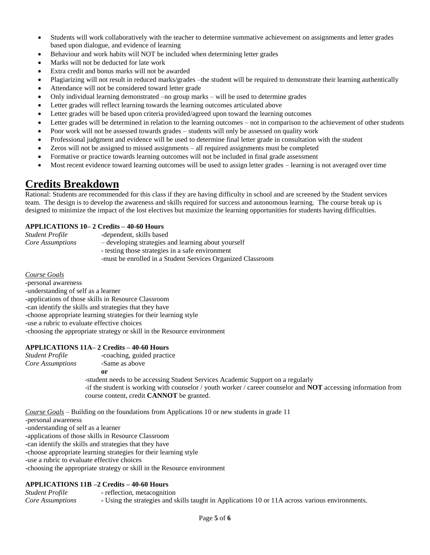- Students will work collaboratively with the teacher to determine summative achievement on assignments and letter grades based upon dialogue, and evidence of learning
- Behaviour and work habits will NOT be included when determining letter grades
- Marks will not be deducted for late work
- Extra credit and bonus marks will not be awarded
- Plagiarizing will not result in reduced marks/grades –the student will be required to demonstrate their learning authentically
- Attendance will not be considered toward letter grade
- Only individual learning demonstrated –no group marks will be used to determine grades
- Letter grades will reflect learning towards the learning outcomes articulated above
- Letter grades will be based upon criteria provided/agreed upon toward the learning outcomes
- Letter grades will be determined in relation to the learning outcomes not in comparison to the achievement of other students
- Poor work will not be assessed towards grades students will only be assessed on quality work
- Professional judgment and evidence will be used to determine final letter grade in consultation with the student
- Zeros will not be assigned to missed assignments all required assignments must be completed
- Formative or practice towards learning outcomes will not be included in final grade assessment
- Most recent evidence toward learning outcomes will be used to assign letter grades learning is not averaged over time

## **Credits Breakdown**

Rational: Students are recommended for this class if they are having difficulty in school and are screened by the Student services team. The design is to develop the awareness and skills required for success and autonomous learning. The course break up is designed to minimize the impact of the lost electives but maximize the learning opportunities for students having difficulties.

#### **APPLICATIONS 10– 2 Credits – 40-60 Hours**

| Student Profile         |  |
|-------------------------|--|
| <b>Core Assumptions</b> |  |

- *Core Assumptions*  developing strategies and learning about yourself - testing those strategies in a safe environment
- -must be enrolled in a Student Services Organized Classroom

*Course Goals*

-personal awareness -understanding of self as a learner -applications of those skills in Resource Classroom -can identify the skills and strategies that they have -choose appropriate learning strategies for their learning style -use a rubric to evaluate effective choices -choosing the appropriate strategy or skill in the Resource environment

-dependent, skills based

#### **APPLICATIONS 11A– 2 Credits – 40-60 Hours**

*Student Profile* -coaching, guided practice *Core Assumptions* -Same as above

**or**

-student needs to be accessing Student Services Academic Support on a regularly -if the student is working with counselor / youth worker / career counselor and **NOT** accessing information from course content, credit **CANNOT** be granted.

*Course Goals* – Building on the foundations from Applications 10 or new students in grade 11

-personal awareness

-understanding of self as a learner

-applications of those skills in Resource Classroom

-can identify the skills and strategies that they have

-choose appropriate learning strategies for their learning style

-use a rubric to evaluate effective choices

-choosing the appropriate strategy or skill in the Resource environment

#### **APPLICATIONS 11B –2 Credits – 40-60 Hours**

*Student Profile* - reflection, metacognition *Core Assumptions* **-** Using the strategies and skills taught in Applications 10 or 11A across various environments.